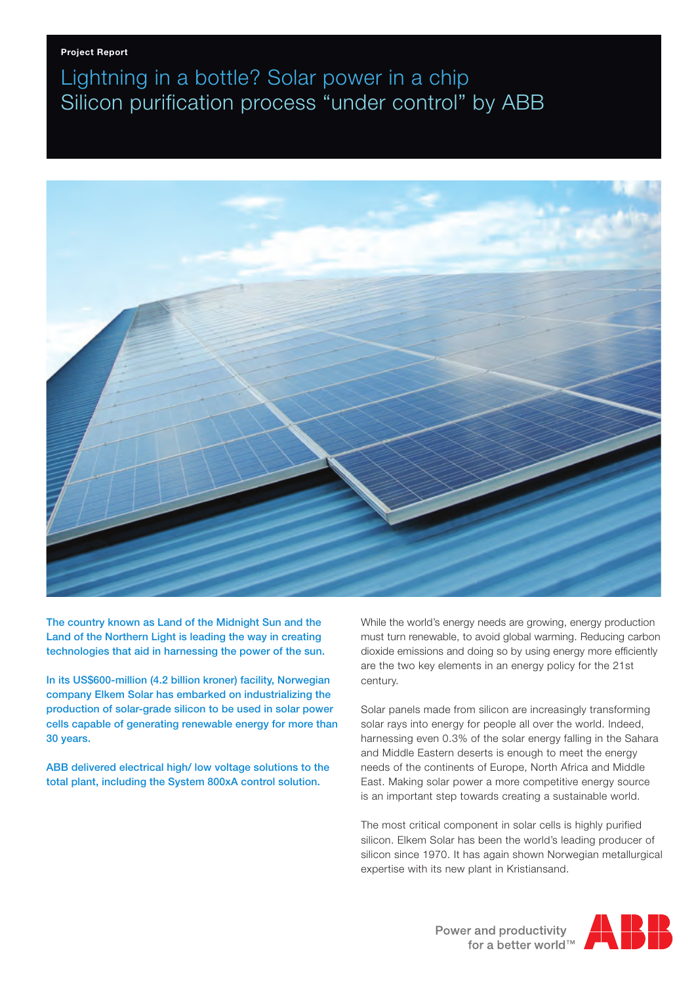## Lightning in a bottle? Solar power in a chip Silicon purification process "under control" by ABB



The country known as Land of the Midnight Sun and the Land of the Northern Light is leading the way in creating technologies that aid in harnessing the power of the sun.

In its US\$600-million (4.2 billion kroner) facility, Norwegian company Elkem Solar has embarked on industrializing the production of solar-grade silicon to be used in solar power cells capable of generating renewable energy for more than 30 years.

ABB delivered electrical high/ low voltage solutions to the total plant, including the System 800xA control solution.

While the world's energy needs are growing, energy production must turn renewable, to avoid global warming. Reducing carbon dioxide emissions and doing so by using energy more efficiently are the two key elements in an energy policy for the 21st century.

Solar panels made from silicon are increasingly transforming solar rays into energy for people all over the world. Indeed, harnessing even 0.3% of the solar energy falling in the Sahara and Middle Eastern deserts is enough to meet the energy needs of the continents of Europe, North Africa and Middle East. Making solar power a more competitive energy source is an important step towards creating a sustainable world.

The most critical component in solar cells is highly purified silicon. Elkem Solar has been the world's leading producer of silicon since 1970. It has again shown Norwegian metallurgical expertise with its new plant in Kristiansand.

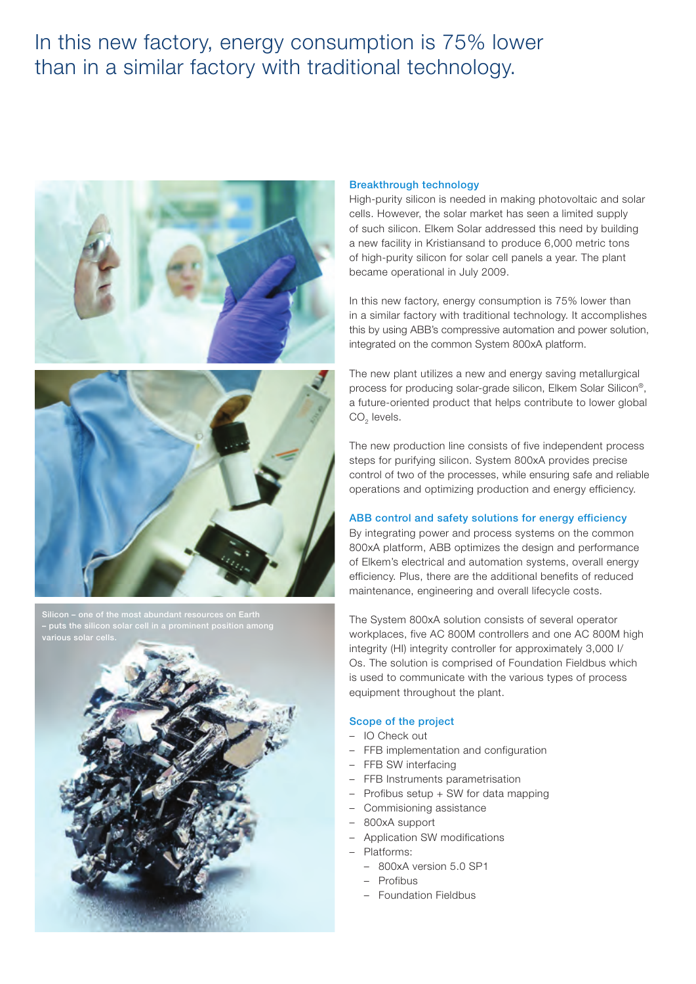### In this new factory, energy consumption is 75% lower than in a similar factory with traditional technology.





 $\sim$  – one of the most abundant resources on Earth – puts the silicon solar cell in a prominent position among



#### Breakthrough technology

High-purity silicon is needed in making photovoltaic and solar cells. However, the solar market has seen a limited supply of such silicon. Elkem Solar addressed this need by building a new facility in Kristiansand to produce 6,000 metric tons of high-purity silicon for solar cell panels a year. The plant became operational in July 2009.

In this new factory, energy consumption is 75% lower than in a similar factory with traditional technology. It accomplishes this by using ABB's compressive automation and power solution, integrated on the common System 800xA platform.

The new plant utilizes a new and energy saving metallurgical process for producing solar-grade silicon, Elkem Solar Silicon®, a future-oriented product that helps contribute to lower global CO<sub>2</sub> levels.

The new production line consists of five independent process steps for purifying silicon. System 800xA provides precise control of two of the processes, while ensuring safe and reliable operations and optimizing production and energy efficiency.

#### ABB control and safety solutions for energy efficiency

By integrating power and process systems on the common 800xA platform, ABB optimizes the design and performance of Elkem's electrical and automation systems, overall energy efficiency. Plus, there are the additional benefits of reduced maintenance, engineering and overall lifecycle costs.

The System 800xA solution consists of several operator workplaces, five AC 800M controllers and one AC 800M high integrity (HI) integrity controller for approximately 3,000 I/ Os. The solution is comprised of Foundation Fieldbus which is used to communicate with the various types of process equipment throughout the plant.

#### Scope of the project

- IO Check out
- FFB implementation and configuration
- FFB SW interfacing
- FFB Instruments parametrisation
- Profibus setup + SW for data mapping
- Commisioning assistance
- 800xA support
- Application SW modifications
- Platforms:
	- 800xA version 5.0 SP1
	- Profibus
	- Foundation Fieldbus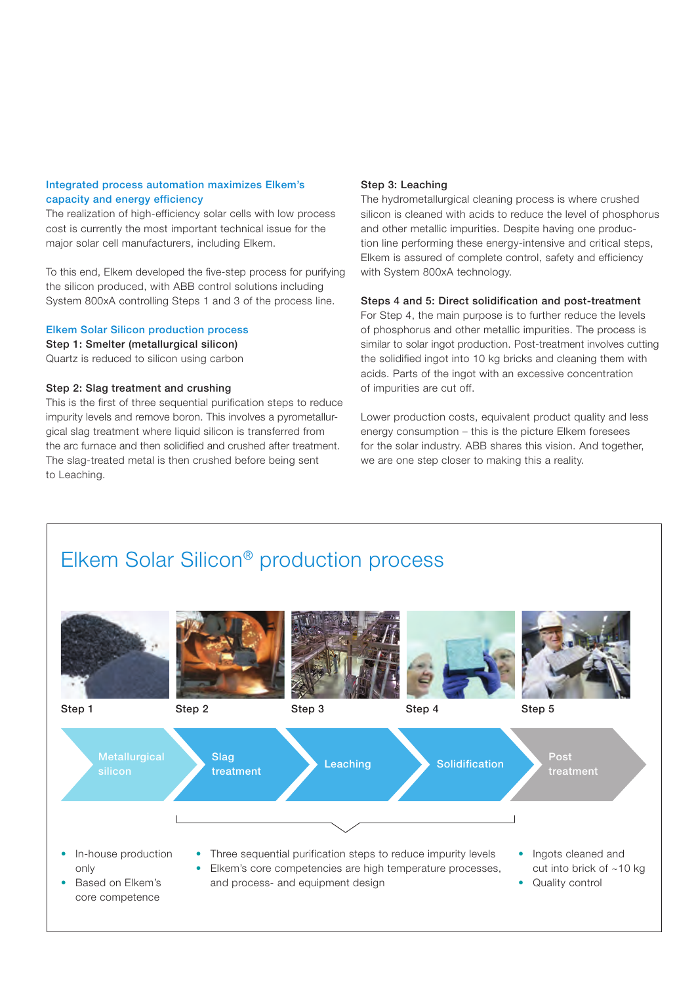#### Integrated process automation maximizes Elkem's capacity and energy efficiency

The realization of high-efficiency solar cells with low process cost is currently the most important technical issue for the major solar cell manufacturers, including Elkem.

To this end, Elkem developed the five-step process for purifying the silicon produced, with ABB control solutions including System 800xA controlling Steps 1 and 3 of the process line.

#### Elkem Solar Silicon production process

Step 1: Smelter (metallurgical silicon)

Quartz is reduced to silicon using carbon

#### Step 2: Slag treatment and crushing

This is the first of three sequential purification steps to reduce impurity levels and remove boron. This involves a pyrometallurgical slag treatment where liquid silicon is transferred from the arc furnace and then solidified and crushed after treatment. The slag-treated metal is then crushed before being sent to Leaching.

#### Step 3: Leaching

The hydrometallurgical cleaning process is where crushed silicon is cleaned with acids to reduce the level of phosphorus and other metallic impurities. Despite having one production line performing these energy-intensive and critical steps, Elkem is assured of complete control, safety and efficiency with System 800xA technology.

#### Steps 4 and 5: Direct solidification and post-treatment

For Step 4, the main purpose is to further reduce the levels of phosphorus and other metallic impurities. The process is similar to solar ingot production. Post-treatment involves cutting the solidified ingot into 10 kg bricks and cleaning them with acids. Parts of the ingot with an excessive concentration of impurities are cut off.

Lower production costs, equivalent product quality and less energy consumption – this is the picture Elkem foresees for the solar industry. ABB shares this vision. And together, we are one step closer to making this a reality.

# Elkem Solar Silicon® production process